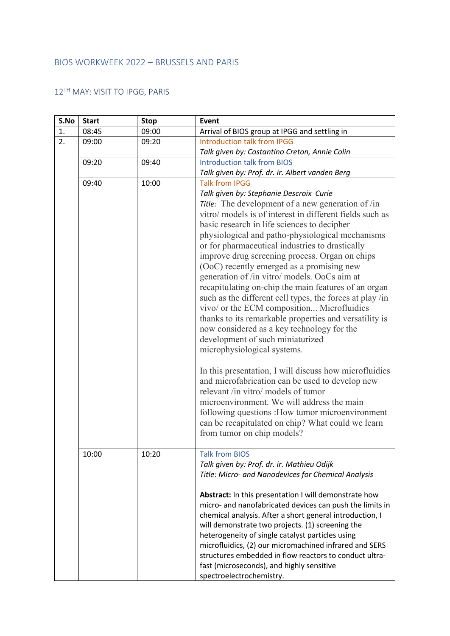## BIOS WORKWEEK 2022 – BRUSSELS AND PARIS

## 12TH MAY: VISIT TO IPGG, PARIS

| S.No | <b>Start</b> | <b>Stop</b> | Event                                                    |
|------|--------------|-------------|----------------------------------------------------------|
| 1.   | 08:45        | 09:00       | Arrival of BIOS group at IPGG and settling in            |
| 2.   | 09:00        | 09:20       | <b>Introduction talk from IPGG</b>                       |
|      |              |             | Talk given by: Costantino Creton, Annie Colin            |
|      | 09:20        | 09:40       | <b>Introduction talk from BIOS</b>                       |
|      |              |             | Talk given by: Prof. dr. ir. Albert vanden Berg          |
|      | 09:40        | 10:00       | <b>Talk from IPGG</b>                                    |
|      |              |             | Talk given by: Stephanie Descroix Curie                  |
|      |              |             | Title: The development of a new generation of /in        |
|      |              |             | vitro/ models is of interest in different fields such as |
|      |              |             | basic research in life sciences to decipher              |
|      |              |             | physiological and patho-physiological mechanisms         |
|      |              |             | or for pharmaceutical industries to drastically          |
|      |              |             | improve drug screening process. Organ on chips           |
|      |              |             | (OoC) recently emerged as a promising new                |
|      |              |             | generation of /in vitro/ models. OoCs aim at             |
|      |              |             | recapitulating on-chip the main features of an organ     |
|      |              |             | such as the different cell types, the forces at play /in |
|      |              |             | vivo/ or the ECM composition Microfluidics               |
|      |              |             | thanks to its remarkable properties and versatility is   |
|      |              |             | now considered as a key technology for the               |
|      |              |             | development of such miniaturized                         |
|      |              |             | microphysiological systems.                              |
|      |              |             |                                                          |
|      |              |             | In this presentation, I will discuss how microfluidics   |
|      |              |             | and microfabrication can be used to develop new          |
|      |              |             | relevant /in vitro/ models of tumor                      |
|      |              |             | microenvironment. We will address the main               |
|      |              |             | following questions : How tumor microenvironment         |
|      |              |             | can be recapitulated on chip? What could we learn        |
|      |              |             | from tumor on chip models?                               |
|      |              |             |                                                          |
|      | 10:00        | 10:20       | <b>Talk from BIOS</b>                                    |
|      |              |             | Talk given by: Prof. dr. ir. Mathieu Odijk               |
|      |              |             | Title: Micro- and Nanodevices for Chemical Analysis      |
|      |              |             |                                                          |
|      |              |             | Abstract: In this presentation I will demonstrate how    |
|      |              |             | micro- and nanofabricated devices can push the limits in |
|      |              |             | chemical analysis. After a short general introduction, I |
|      |              |             | will demonstrate two projects. (1) screening the         |
|      |              |             | heterogeneity of single catalyst particles using         |
|      |              |             | microfluidics, (2) our micromachined infrared and SERS   |
|      |              |             | structures embedded in flow reactors to conduct ultra-   |
|      |              |             | fast (microseconds), and highly sensitive                |
|      |              |             | spectroelectrochemistry.                                 |